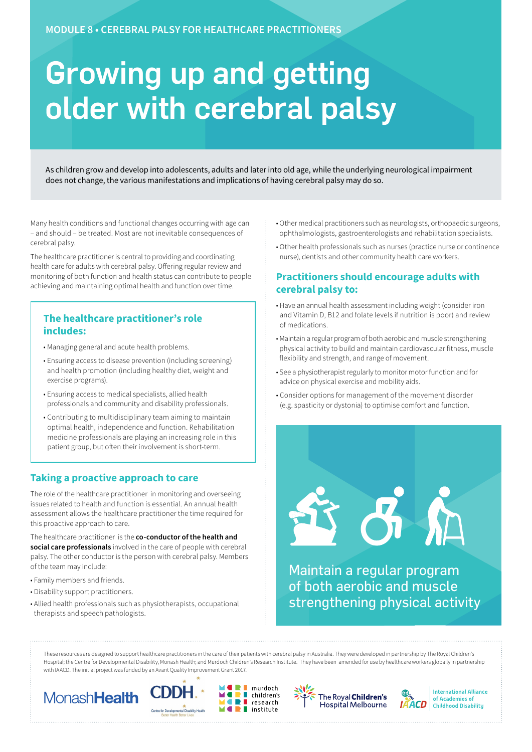# Growing up and getting older with cerebral palsy

As children grow and develop into adolescents, adults and later into old age, while the underlying neurological impairment does not change, the various manifestations and implications of having cerebral palsy may do so.

Many health conditions and functional changes occurring with age can – and should – be treated. Most are not inevitable consequences of cerebral palsy.

The healthcare practitioner is central to providing and coordinating health care for adults with cerebral palsy. Offering regular review and monitoring of both function and health status can contribute to people achieving and maintaining optimal health and function over time.

## **The healthcare practitioner's role includes:**

- Managing general and acute health problems.
- Ensuring access to disease prevention (including screening) and health promotion (including healthy diet, weight and exercise programs).
- Ensuring access to medical specialists, allied health professionals and community and disability professionals.
- Contributing to multidisciplinary team aiming to maintain optimal health, independence and function. Rehabilitation medicine professionals are playing an increasing role in this patient group, but often their involvement is short-term.

# **Taking a proactive approach to care**

The role of the healthcare practitioner in monitoring and overseeing issues related to health and function is essential. An annual health assessment allows the healthcare practitioner the time required for this proactive approach to care.

The healthcare practitioner is the **co-conductor of the health and social care professionals** involved in the care of people with cerebral palsy. The other conductor is the person with cerebral palsy. Members of the team may include:

- Family members and friends.
- Disability support practitioners.
- Allied health professionals such as physiotherapists, occupational therapists and speech pathologists.
- Other medical practitioners such as neurologists, orthopaedic surgeons, ophthalmologists, gastroenterologists and rehabilitation specialists.
- Other health professionals such as nurses (practice nurse or continence nurse), dentists and other community health care workers.

# **Practitioners should encourage adults with cerebral palsy to:**

- Have an annual health assessment including weight (consider iron and Vitamin D, B12 and folate levels if nutrition is poor) and review of medications.
- Maintain a regular program of both aerobic and muscle strengthening physical activity to build and maintain cardiovascular fitness, muscle flexibility and strength, and range of movement.
- See a physiotherapist regularly to monitor motor function and for advice on physical exercise and mobility aids.
- Consider options for management of the movement disorder (e.g. spasticity or dystonia) to optimise comfort and function.

Maintain a regular program of both aerobic and muscle strengthening physical activity

5

These resources are designed to support healthcare practitioners in the care of their patients with cerebral palsy in Australia. They were developed in partnership by The Royal Children's Hospital; the Centre for Developmental Disability, Monash Health; and Murdoch Children's Research Institute. They have been amended for use by healthcare workers globally in partnership with IAACD. The initial project was funded by an Avant Quality Improvement Grant 2017.

murdoch

 $\blacksquare$  institute

5 F









**International Alliance** of Academies of **Childhood Disability**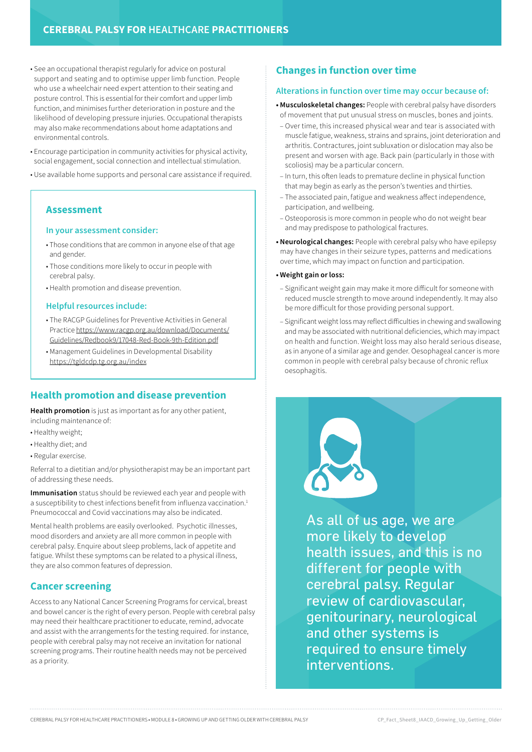- See an occupational therapist regularly for advice on postural support and seating and to optimise upper limb function. People who use a wheelchair need expert attention to their seating and posture control. This is essential for their comfort and upper limb function, and minimises further deterioration in posture and the likelihood of developing pressure injuries. Occupational therapists may also make recommendations about home adaptations and environmental controls.
- Encourage participation in community activities for physical activity, social engagement, social connection and intellectual stimulation.
- Use available home supports and personal care assistance if required.

#### **Assessment**

#### **In your assessment consider:**

- Those conditions that are common in anyone else of that age and gender.
- Those conditions more likely to occur in people with cerebral palsy.
- Health promotion and disease prevention.

#### **Helpful resources include:**

- The RACGP Guidelines for Preventive Activities in General Practice [https://www.racgp.org.au/download/Documents/](https://www.racgp.org.au/download/Documents/Guidelines/Redbook9/17048-Red-Book-9th-Edition.pdf) [Guidelines/Redbook9/17048-Red-Book-9th-Edition.pdf](https://www.racgp.org.au/download/Documents/Guidelines/Redbook9/17048-Red-Book-9th-Edition.pdf)
- Management Guidelines in Developmental Disability <https://tgldcdp.tg.org.au/index>

## **Health promotion and disease prevention**

**Health promotion** is just as important as for any other patient, including maintenance of:

- Healthy weight;
- Healthy diet; and
- Regular exercise.

Referral to a dietitian and/or physiotherapist may be an important part of addressing these needs.

**Immunisation** status should be reviewed each year and people with a susceptibility to chest infections benefit from influenza vaccination.<sup>1</sup> Pneumococcal and Covid vaccinations may also be indicated.

Mental health problems are easily overlooked. Psychotic illnesses, mood disorders and anxiety are all more common in people with cerebral palsy. Enquire about sleep problems, lack of appetite and fatigue. Whilst these symptoms can be related to a physical illness, they are also common features of depression.

## **Cancer screening**

Access to any National Cancer Screening Programs for cervical, breast and bowel cancer is the right of every person. People with cerebral palsy may need their healthcare practitioner to educate, remind, advocate and assist with the arrangements for the testing required. for instance, people with cerebral palsy may not receive an invitation for national screening programs. Their routine health needs may not be perceived as a priority.

## **Changes in function over time**

#### **Alterations in function over time may occur because of:**

- **Musculoskeletal changes:** People with cerebral palsy have disorders of movement that put unusual stress on muscles, bones and joints.
- Over time, this increased physical wear and tear is associated with muscle fatigue, weakness, strains and sprains, joint deterioration and arthritis. Contractures, joint subluxation or dislocation may also be present and worsen with age. Back pain (particularly in those with scoliosis) may be a particular concern.
- In turn, this often leads to premature decline in physical function that may begin as early as the person's twenties and thirties.
- The associated pain, fatigue and weakness affect independence, participation, and wellbeing.
- Osteoporosis is more common in people who do not weight bear and may predispose to pathological fractures.
- **Neurological changes:** People with cerebral palsy who have epilepsy may have changes in their seizure types, patterns and medications over time, which may impact on function and participation.

#### **• Weight gain or loss:**

- Significant weight gain may make it more difficult for someone with reduced muscle strength to move around independently. It may also be more difficult for those providing personal support.
- Significant weight loss may reflect difficulties in chewing and swallowing and may be associated with nutritional deficiencies, which may impact on health and function. Weight loss may also herald serious disease, as in anyone of a similar age and gender. Oesophageal cancer is more common in people with cerebral palsy because of chronic reflux oesophagitis.



As all of us age, we are more likely to develop health issues, and this is no different for people with cerebral palsy. Regular review of cardiovascular, genitourinary, neurological and other systems is required to ensure timely interventions.

CEREBRAL PALSY FOR HEALTHCARE PRACTITIONERS • MODULE 8 • GROWING UP AND GETTING OLDER WITH CEREBRAL PALSY CP\_Fact\_Sheet8\_IAACD\_Growing\_Up\_Getting\_Older